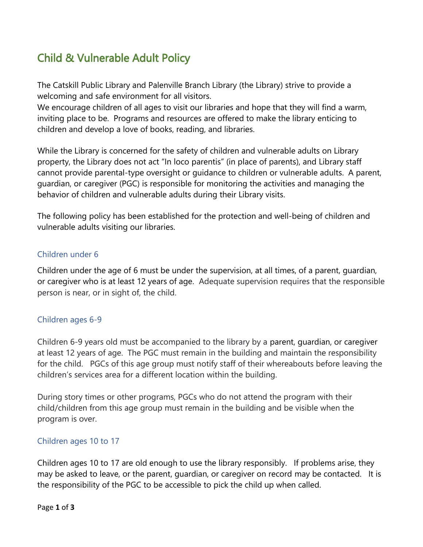# Child & Vulnerable Adult Policy

The Catskill Public Library and Palenville Branch Library (the Library) strive to provide a welcoming and safe environment for all visitors.

We encourage children of all ages to visit our libraries and hope that they will find a warm, inviting place to be. Programs and resources are offered to make the library enticing to children and develop a love of books, reading, and libraries.

While the Library is concerned for the safety of children and vulnerable adults on Library property, the Library does not act "In loco parentis" (in place of parents), and Library staff cannot provide parental-type oversight or guidance to children or vulnerable adults. A parent, guardian, or caregiver (PGC) is responsible for monitoring the activities and managing the behavior of children and vulnerable adults during their Library visits.

The following policy has been established for the protection and well-being of children and vulnerable adults visiting our libraries.

#### Children under 6

Children under the age of 6 must be under the supervision, at all times, of a parent, guardian, or caregiver who is at least 12 years of age. Adequate supervision requires that the responsible person is near, or in sight of, the child.

#### Children ages 6-9

Children 6-9 years old must be accompanied to the library by a parent, guardian, or caregiver at least 12 years of age. The PGC must remain in the building and maintain the responsibility for the child. PGCs of this age group must notify staff of their whereabouts before leaving the children's services area for a different location within the building.

During story times or other programs, PGCs who do not attend the program with their child/children from this age group must remain in the building and be visible when the program is over.

#### Children ages 10 to 17

Children ages 10 to 17 are old enough to use the library responsibly. If problems arise, they may be asked to leave, or the parent, guardian, or caregiver on record may be contacted. It is the responsibility of the PGC to be accessible to pick the child up when called.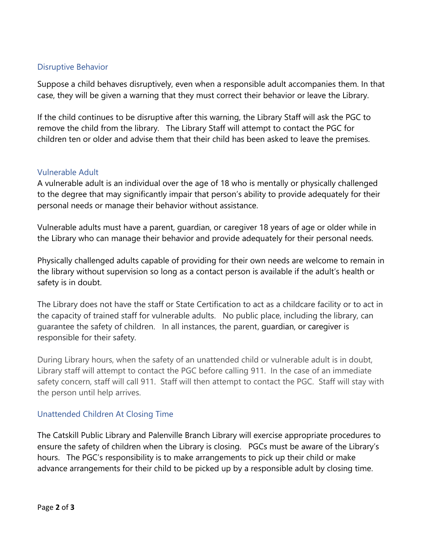### Disruptive Behavior

Suppose a child behaves disruptively, even when a responsible adult accompanies them. In that case, they will be given a warning that they must correct their behavior or leave the Library.

If the child continues to be disruptive after this warning, the Library Staff will ask the PGC to remove the child from the library. The Library Staff will attempt to contact the PGC for children ten or older and advise them that their child has been asked to leave the premises.

### Vulnerable Adult

A vulnerable adult is an individual over the age of 18 who is mentally or physically challenged to the degree that may significantly impair that person's ability to provide adequately for their personal needs or manage their behavior without assistance.

Vulnerable adults must have a parent, guardian, or caregiver 18 years of age or older while in the Library who can manage their behavior and provide adequately for their personal needs.

Physically challenged adults capable of providing for their own needs are welcome to remain in the library without supervision so long as a contact person is available if the adult's health or safety is in doubt.

The Library does not have the staff or State Certification to act as a childcare facility or to act in the capacity of trained staff for vulnerable adults. No public place, including the library, can guarantee the safety of children. In all instances, the parent, guardian, or caregiver is responsible for their safety.

During Library hours, when the safety of an unattended child or vulnerable adult is in doubt, Library staff will attempt to contact the PGC before calling 911. In the case of an immediate safety concern, staff will call 911. Staff will then attempt to contact the PGC. Staff will stay with the person until help arrives.

### Unattended Children At Closing Time

The Catskill Public Library and Palenville Branch Library will exercise appropriate procedures to ensure the safety of children when the Library is closing. PGCs must be aware of the Library's hours. The PGC's responsibility is to make arrangements to pick up their child or make advance arrangements for their child to be picked up by a responsible adult by closing time.